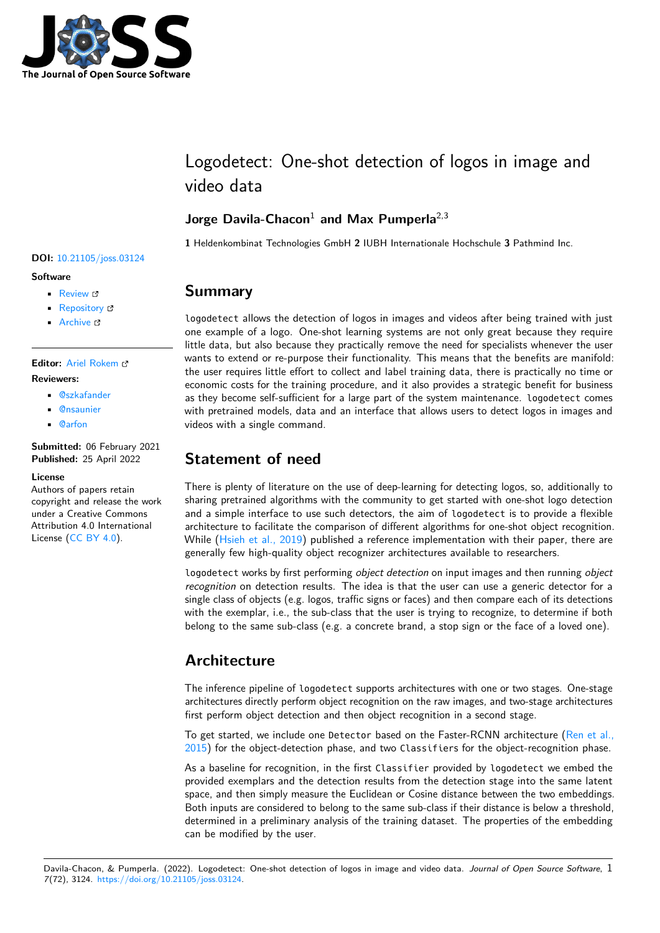

# Logodetect: One-shot detection of logos in image and video data

### **Jorge Davila-Chacon**<sup>1</sup> **and Max Pumperla**2,3

**1** Heldenkombinat Technologies GmbH **2** IUBH Internationale Hochschule **3** Pathmind Inc.

#### **DOI:** [10.21105/joss.03124](https://doi.org/10.21105/joss.03124)

#### **Software**

- [Review](https://github.com/openjournals/joss-reviews/issues/3124) &
- [Repository](https://github.com/Heldenkombinat/Logodetect) &
- [Archive](https://doi.org/10.5281/zenodo.6483152) &

### **Editor:** [Ariel Rokem](http://arokem.org/) **Reviewers:**

- [@szkafander](https://github.com/szkafander)
- [@nsaunier](https://github.com/nsaunier)
- [@arfon](https://github.com/arfon)

**Submitted:** 06 February 2021 **Published:** 25 April 2022

#### **License**

Authors of papers retain copyright and release the work under a Creative Commons Attribution 4.0 International License [\(CC BY 4.0\)](https://creativecommons.org/licenses/by/4.0/).

### **Summary**

logodetect allows the detection of logos in images and videos after being trained with just one example of a logo. One-shot learning systems are not only great because they require little data, but also because they practically remove the need for specialists whenever the user wants to extend or re-purpose their functionality. This means that the benefits are manifold: the user requires little effort to collect and label training data, there is practically no time or economic costs for the training procedure, and it also provides a strategic benefit for business as they become self-sufficient for a large part of the system maintenance. logodetect comes with pretrained models, data and an interface that allows users to detect logos in images and videos with a single command.

## **Statement of need**

There is plenty of literature on the use of deep-learning for detecting logos, so, additionally to sharing pretrained algorithms with the community to get started with one-shot logo detection and a simple interface to use such detectors, the aim of logodetect is to provide a flexible architecture to facilitate the comparison of different algorithms for one-shot object recognition. While [\(Hsieh et al., 2019\)](#page-1-0) published a reference implementation with their paper, there are generally few high-quality object recognizer architectures available to researchers.

logodetect works by first performing object detection on input images and then running object recognition on detection results. The idea is that the user can use a generic detector for a single class of objects (e.g. logos, traffic signs or faces) and then compare each of its detections with the exemplar, i.e., the sub-class that the user is trying to recognize, to determine if both belong to the same sub-class (e.g. a concrete brand, a stop sign or the face of a loved one).

# **Architecture**

The inference pipeline of logodetect supports architectures with one or two stages. One-stage architectures directly perform object recognition on the raw images, and two-stage architectures first perform object detection and then object recognition in a second stage.

To get started, we include one Detector based on the Faster-RCNN architecture [\(Ren et al.,](#page-1-1) [2015\)](#page-1-1) for the object-detection phase, and two Classifiers for the object-recognition phase.

As a baseline for recognition, in the first Classifier provided by logodetect we embed the provided exemplars and the detection results from the detection stage into the same latent space, and then simply measure the Euclidean or Cosine distance between the two embeddings. Both inputs are considered to belong to the same sub-class if their distance is below a threshold, determined in a preliminary analysis of the training dataset. The properties of the embedding can be modified by the user.